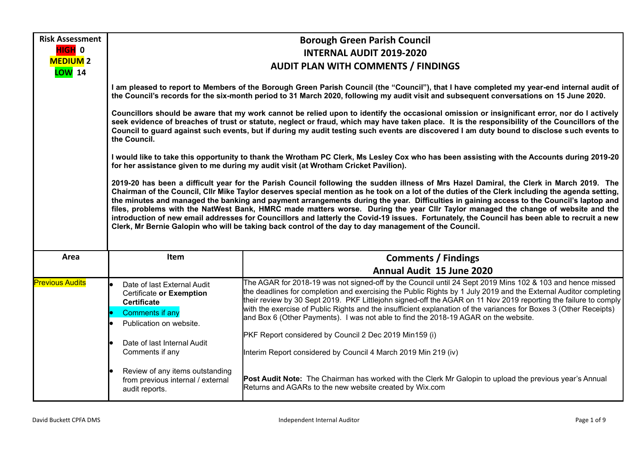| <b>Risk Assessment</b>           |                                                                                                                                                                                                                                                                                                                                                                                                                                                                                                                                                                                                                                                                                                                                                                                                                                        | <b>Borough Green Parish Council</b>                                                                                                                                                                                                                                                                                                                                                                                                                                                                                                                          |  |  |  |
|----------------------------------|----------------------------------------------------------------------------------------------------------------------------------------------------------------------------------------------------------------------------------------------------------------------------------------------------------------------------------------------------------------------------------------------------------------------------------------------------------------------------------------------------------------------------------------------------------------------------------------------------------------------------------------------------------------------------------------------------------------------------------------------------------------------------------------------------------------------------------------|--------------------------------------------------------------------------------------------------------------------------------------------------------------------------------------------------------------------------------------------------------------------------------------------------------------------------------------------------------------------------------------------------------------------------------------------------------------------------------------------------------------------------------------------------------------|--|--|--|
| HIGH 0                           | <b>INTERNAL AUDIT 2019-2020</b>                                                                                                                                                                                                                                                                                                                                                                                                                                                                                                                                                                                                                                                                                                                                                                                                        |                                                                                                                                                                                                                                                                                                                                                                                                                                                                                                                                                              |  |  |  |
| <b>MEDIUM 2</b><br><b>LOW</b> 14 | <b>AUDIT PLAN WITH COMMENTS / FINDINGS</b>                                                                                                                                                                                                                                                                                                                                                                                                                                                                                                                                                                                                                                                                                                                                                                                             |                                                                                                                                                                                                                                                                                                                                                                                                                                                                                                                                                              |  |  |  |
|                                  | I am pleased to report to Members of the Borough Green Parish Council (the "Council"), that I have completed my year-end internal audit of<br>the Council's records for the six-month period to 31 March 2020, following my audit visit and subsequent conversations on 15 June 2020.                                                                                                                                                                                                                                                                                                                                                                                                                                                                                                                                                  |                                                                                                                                                                                                                                                                                                                                                                                                                                                                                                                                                              |  |  |  |
|                                  | Councillors should be aware that my work cannot be relied upon to identify the occasional omission or insignificant error, nor do I actively<br>seek evidence of breaches of trust or statute, neglect or fraud, which may have taken place. It is the responsibility of the Councillors of the<br>Council to guard against such events, but if during my audit testing such events are discovered I am duty bound to disclose such events to<br>the Council.                                                                                                                                                                                                                                                                                                                                                                          |                                                                                                                                                                                                                                                                                                                                                                                                                                                                                                                                                              |  |  |  |
|                                  | I would like to take this opportunity to thank the Wrotham PC Clerk, Ms Lesley Cox who has been assisting with the Accounts during 2019-20<br>for her assistance given to me during my audit visit (at Wrotham Cricket Pavilion).                                                                                                                                                                                                                                                                                                                                                                                                                                                                                                                                                                                                      |                                                                                                                                                                                                                                                                                                                                                                                                                                                                                                                                                              |  |  |  |
|                                  | 2019-20 has been a difficult year for the Parish Council following the sudden illness of Mrs Hazel Damiral, the Clerk in March 2019. The<br>Chairman of the Council, Cllr Mike Taylor deserves special mention as he took on a lot of the duties of the Clerk including the agenda setting,<br>the minutes and managed the banking and payment arrangements during the year. Difficulties in gaining access to the Council's laptop and<br>files, problems with the NatWest Bank, HMRC made matters worse. During the year Cllr Taylor managed the change of website and the<br>introduction of new email addresses for Councillors and latterly the Covid-19 issues. Fortunately, the Council has been able to recruit a new<br>Clerk, Mr Bernie Galopin who will be taking back control of the day to day management of the Council. |                                                                                                                                                                                                                                                                                                                                                                                                                                                                                                                                                              |  |  |  |
| Area                             | Item                                                                                                                                                                                                                                                                                                                                                                                                                                                                                                                                                                                                                                                                                                                                                                                                                                   | <b>Comments / Findings</b>                                                                                                                                                                                                                                                                                                                                                                                                                                                                                                                                   |  |  |  |
|                                  |                                                                                                                                                                                                                                                                                                                                                                                                                                                                                                                                                                                                                                                                                                                                                                                                                                        | Annual Audit 15 June 2020                                                                                                                                                                                                                                                                                                                                                                                                                                                                                                                                    |  |  |  |
| <b>Previous Audits</b>           | Date of last External Audit<br>Certificate or Exemption<br><b>Certificate</b><br><b>Comments if any</b><br>Publication on website.                                                                                                                                                                                                                                                                                                                                                                                                                                                                                                                                                                                                                                                                                                     | The AGAR for 2018-19 was not signed-off by the Council until 24 Sept 2019 Mins 102 & 103 and hence missed<br>the deadlines for completion and exercising the Public Rights by 1 July 2019 and the External Auditor completing<br>their review by 30 Sept 2019. PKF Littlejohn signed-off the AGAR on 11 Nov 2019 reporting the failure to comply<br>with the exercise of Public Rights and the insufficient explanation of the variances for Boxes 3 (Other Receipts)<br>and Box 6 (Other Payments). I was not able to find the 2018-19 AGAR on the website. |  |  |  |
|                                  |                                                                                                                                                                                                                                                                                                                                                                                                                                                                                                                                                                                                                                                                                                                                                                                                                                        | PKF Report considered by Council 2 Dec 2019 Min159 (i)                                                                                                                                                                                                                                                                                                                                                                                                                                                                                                       |  |  |  |
|                                  | Date of last Internal Audit<br>Comments if any                                                                                                                                                                                                                                                                                                                                                                                                                                                                                                                                                                                                                                                                                                                                                                                         | Interim Report considered by Council 4 March 2019 Min 219 (iv)                                                                                                                                                                                                                                                                                                                                                                                                                                                                                               |  |  |  |
|                                  | Review of any items outstanding<br>from previous internal / external<br>audit reports.                                                                                                                                                                                                                                                                                                                                                                                                                                                                                                                                                                                                                                                                                                                                                 | Post Audit Note: The Chairman has worked with the Clerk Mr Galopin to upload the previous year's Annual<br>Returns and AGARs to the new website created by Wix.com                                                                                                                                                                                                                                                                                                                                                                                           |  |  |  |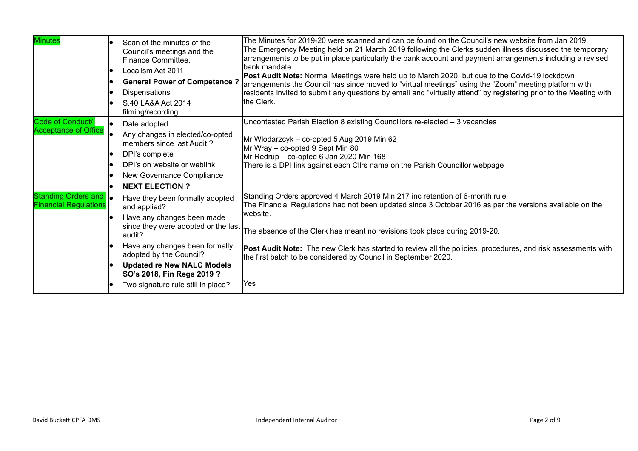| <b>Minutes</b>                                               | Scan of the minutes of the<br>Council's meetings and the<br>Finance Committee.<br>Localism Act 2011<br><b>General Power of Competence?</b><br><b>Dispensations</b><br>S.40 LA&A Act 2014<br>filming/recording                                                                                        | The Minutes for 2019-20 were scanned and can be found on the Council's new website from Jan 2019.<br>The Emergency Meeting held on 21 March 2019 following the Clerks sudden illness discussed the temporary<br>arrangements to be put in place particularly the bank account and payment arrangements including a revised<br>bank mandate.<br>Post Audit Note: Normal Meetings were held up to March 2020, but due to the Covid-19 lockdown<br>arrangements the Council has since moved to "virtual meetings" using the "Zoom" meeting platform with<br>residents invited to submit any questions by email and "virtually attend" by registering prior to the Meeting with<br>the Clerk. |
|--------------------------------------------------------------|------------------------------------------------------------------------------------------------------------------------------------------------------------------------------------------------------------------------------------------------------------------------------------------------------|-------------------------------------------------------------------------------------------------------------------------------------------------------------------------------------------------------------------------------------------------------------------------------------------------------------------------------------------------------------------------------------------------------------------------------------------------------------------------------------------------------------------------------------------------------------------------------------------------------------------------------------------------------------------------------------------|
| Code of Conduct/<br><b>Acceptance of Office</b>              | Date adopted<br>Any changes in elected/co-opted<br>members since last Audit?<br>DPI's complete<br>DPI's on website or weblink<br>New Governance Compliance<br><b>NEXT ELECTION?</b>                                                                                                                  | Uncontested Parish Election 8 existing Councillors re-elected - 3 vacancies<br>Mr Wlodarzcyk - co-opted 5 Aug 2019 Min 62<br>Mr Wray - co-opted 9 Sept Min 80<br>Mr Redrup - co-opted 6 Jan 2020 Min 168<br>There is a DPI link against each Cllrs name on the Parish Councillor webpage                                                                                                                                                                                                                                                                                                                                                                                                  |
| Standing Orders and <b>o</b><br><b>Financial Regulations</b> | Have they been formally adopted<br>and applied?<br>Have any changes been made<br>since they were adopted or the last<br>audit?<br>Have any changes been formally<br>adopted by the Council?<br><b>Updated re New NALC Models</b><br>SO's 2018, Fin Regs 2019 ?<br>Two signature rule still in place? | Standing Orders approved 4 March 2019 Min 217 inc retention of 6-month rule<br>The Financial Regulations had not been updated since 3 October 2016 as per the versions available on the<br>website.<br>The absence of the Clerk has meant no revisions took place during 2019-20.<br>Post Audit Note: The new Clerk has started to review all the policies, procedures, and risk assessments with<br>the first batch to be considered by Council in September 2020.<br>Yes                                                                                                                                                                                                                |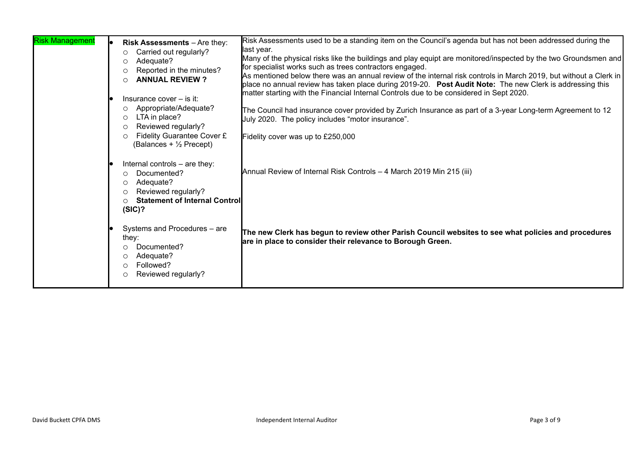| <b>Risk Management</b> | Risk Assessments - Are they:<br>Carried out regularly?<br>O<br>Adequate?<br>O<br>Reported in the minutes?<br>O<br><b>ANNUAL REVIEW?</b><br>∩<br>Insurance cover - is it:<br>Appropriate/Adequate?<br>$\circ$<br>LTA in place?<br>$\circ$<br>Reviewed regularly?<br>$\circ$<br>Fidelity Guarantee Cover £<br>$\circ$<br>(Balances + 1/2 Precept) | Risk Assessments used to be a standing item on the Council's agenda but has not been addressed during the<br>last year.<br>Many of the physical risks like the buildings and play equipt are monitored/inspected by the two Groundsmen and<br>for specialist works such as trees contractors engaged.<br>As mentioned below there was an annual review of the internal risk controls in March 2019, but without a Clerk in<br>place no annual review has taken place during 2019-20. Post Audit Note: The new Clerk is addressing this<br>matter starting with the Financial Internal Controls due to be considered in Sept 2020.<br>The Council had insurance cover provided by Zurich Insurance as part of a 3-year Long-term Agreement to 12<br>July 2020. The policy includes "motor insurance".<br>Fidelity cover was up to £250,000 |
|------------------------|-------------------------------------------------------------------------------------------------------------------------------------------------------------------------------------------------------------------------------------------------------------------------------------------------------------------------------------------------|-------------------------------------------------------------------------------------------------------------------------------------------------------------------------------------------------------------------------------------------------------------------------------------------------------------------------------------------------------------------------------------------------------------------------------------------------------------------------------------------------------------------------------------------------------------------------------------------------------------------------------------------------------------------------------------------------------------------------------------------------------------------------------------------------------------------------------------------|
|                        | Internal controls - are they:<br>Documented?<br>$\circ$<br>Adequate?<br>O<br>Reviewed regularly?<br>O<br><b>Statement of Internal Control</b><br>O<br>(SIC)?<br>Systems and Procedures - are                                                                                                                                                    | Annual Review of Internal Risk Controls - 4 March 2019 Min 215 (iii)                                                                                                                                                                                                                                                                                                                                                                                                                                                                                                                                                                                                                                                                                                                                                                      |
|                        | they:<br>Documented?<br>$\circ$<br>Adequate?<br>O<br>Followed?<br>$\bigcirc$<br>Reviewed regularly?<br>O                                                                                                                                                                                                                                        | The new Clerk has begun to review other Parish Council websites to see what policies and procedures<br>are in place to consider their relevance to Borough Green.                                                                                                                                                                                                                                                                                                                                                                                                                                                                                                                                                                                                                                                                         |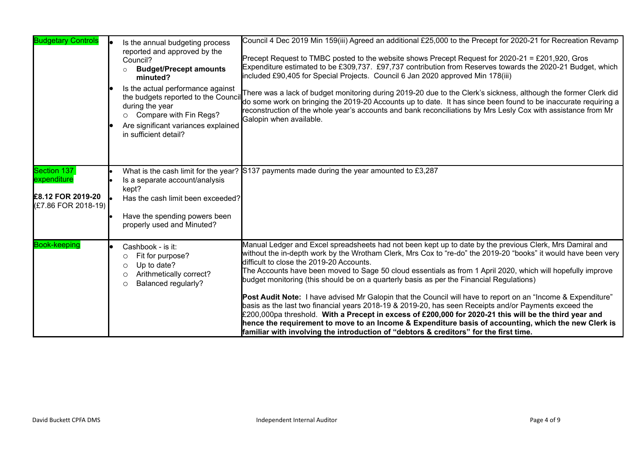| <b>Budgetary Controls</b>                                              | Is the annual budgeting process<br>reported and approved by the<br>Council?<br><b>Budget/Precept amounts</b><br>minuted?<br>Is the actual performance against<br>the budgets reported to the Counci<br>during the year<br>Compare with Fin Regs?<br>$\circ$<br>Are significant variances explained<br>in sufficient detail? | Council 4 Dec 2019 Min 159(iii) Agreed an additional £25,000 to the Precept for 2020-21 for Recreation Revamp<br>Precept Request to TMBC posted to the website shows Precept Request for 2020-21 = £201,920, Gros<br>Expenditure estimated to be £309,737. £97,737 contribution from Reserves towards the 2020-21 Budget, which<br>included £90,405 for Special Projects. Council 6 Jan 2020 approved Min 178(iii)<br>There was a lack of budget monitoring during 2019-20 due to the Clerk's sickness, although the former Clerk did<br>do some work on bringing the 2019-20 Accounts up to date. It has since been found to be inaccurate requiring a<br>reconstruction of the whole year's accounts and bank reconciliations by Mrs Lesly Cox with assistance from Mr<br>Galopin when available.                                                                                                                                                                                                                   |
|------------------------------------------------------------------------|-----------------------------------------------------------------------------------------------------------------------------------------------------------------------------------------------------------------------------------------------------------------------------------------------------------------------------|-----------------------------------------------------------------------------------------------------------------------------------------------------------------------------------------------------------------------------------------------------------------------------------------------------------------------------------------------------------------------------------------------------------------------------------------------------------------------------------------------------------------------------------------------------------------------------------------------------------------------------------------------------------------------------------------------------------------------------------------------------------------------------------------------------------------------------------------------------------------------------------------------------------------------------------------------------------------------------------------------------------------------|
| Section 137<br>expenditure<br>£8.12 FOR 2019-20<br>(£7.86 FOR 2018-19) | Is a separate account/analysis<br>kept?<br>Has the cash limit been exceeded?<br>Have the spending powers been<br>properly used and Minuted?                                                                                                                                                                                 | What is the cash limit for the year? S137 payments made during the year amounted to $\overline{\text{£3,287}}$                                                                                                                                                                                                                                                                                                                                                                                                                                                                                                                                                                                                                                                                                                                                                                                                                                                                                                        |
| <b>Book-keeping</b>                                                    | Cashbook - is it:<br>Fit for purpose?<br>$\circ$<br>Up to date?<br>$\circ$<br>Arithmetically correct?<br>$\circ$<br>Balanced regularly?<br>$\circ$                                                                                                                                                                          | Manual Ledger and Excel spreadsheets had not been kept up to date by the previous Clerk, Mrs Damiral and<br>without the in-depth work by the Wrotham Clerk, Mrs Cox to "re-do" the 2019-20 "books" it would have been very<br>difficult to close the 2019-20 Accounts.<br>The Accounts have been moved to Sage 50 cloud essentials as from 1 April 2020, which will hopefully improve<br>budget monitoring (this should be on a quarterly basis as per the Financial Regulations)<br>Post Audit Note: I have advised Mr Galopin that the Council will have to report on an "Income & Expenditure"<br>basis as the last two financial years 2018-19 & 2019-20, has seen Receipts and/or Payments exceed the<br>£200,000pa threshold. With a Precept in excess of £200,000 for 2020-21 this will be the third year and<br>hence the requirement to move to an Income & Expenditure basis of accounting, which the new Clerk is<br>familiar with involving the introduction of "debtors & creditors" for the first time. |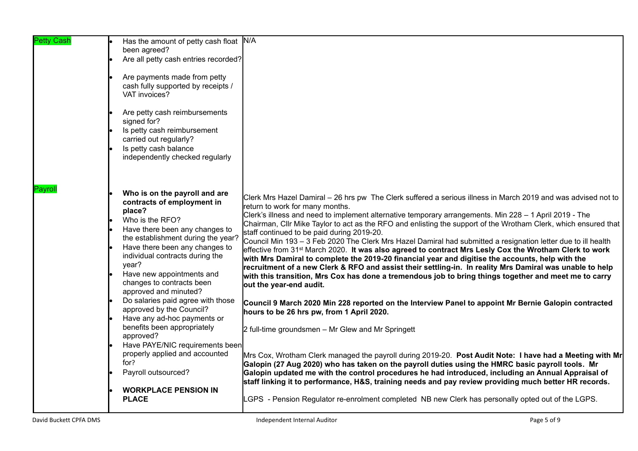| <b>Petty Cash</b> | Has the amount of petty cash float N/A<br>been agreed?<br>Are all petty cash entries recorded?<br>Are payments made from petty<br>cash fully supported by receipts /<br>VAT invoices?<br>Are petty cash reimbursements<br>signed for?<br>Is petty cash reimbursement<br>carried out regularly?<br>Is petty cash balance<br>independently checked regularly                                                                                                                                                                                                                                                                       |                                                                                                                                                                                                                                                                                                                                                                                                                                                                                                                                                                                                                                                                                                                                                                                                                                                                                                                                                                                                                                                                                                                                                                                                                                                                                                                                                                                                                                                                                                                                                                                                                                                                                                                                                                       |
|-------------------|----------------------------------------------------------------------------------------------------------------------------------------------------------------------------------------------------------------------------------------------------------------------------------------------------------------------------------------------------------------------------------------------------------------------------------------------------------------------------------------------------------------------------------------------------------------------------------------------------------------------------------|-----------------------------------------------------------------------------------------------------------------------------------------------------------------------------------------------------------------------------------------------------------------------------------------------------------------------------------------------------------------------------------------------------------------------------------------------------------------------------------------------------------------------------------------------------------------------------------------------------------------------------------------------------------------------------------------------------------------------------------------------------------------------------------------------------------------------------------------------------------------------------------------------------------------------------------------------------------------------------------------------------------------------------------------------------------------------------------------------------------------------------------------------------------------------------------------------------------------------------------------------------------------------------------------------------------------------------------------------------------------------------------------------------------------------------------------------------------------------------------------------------------------------------------------------------------------------------------------------------------------------------------------------------------------------------------------------------------------------------------------------------------------------|
| Payroll           | Who is on the payroll and are<br>contracts of employment in<br>place?<br>Who is the RFO?<br>Have there been any changes to<br>the establishment during the year?<br>Have there been any changes to<br>individual contracts during the<br>year?<br>Have new appointments and<br>changes to contracts been<br>approved and minuted?<br>Do salaries paid agree with those<br>approved by the Council?<br>Have any ad-hoc payments or<br>benefits been appropriately<br>approved?<br>Have PAYE/NIC requirements been<br>properly applied and accounted<br>for?<br>Payroll outsourced?<br><b>WORKPLACE PENSION IN</b><br><b>PLACE</b> | Clerk Mrs Hazel Damiral – 26 hrs pw The Clerk suffered a serious illness in March 2019 and was advised not to<br>return to work for many months.<br>Clerk's illness and need to implement alternative temporary arrangements. Min 228 – 1 April 2019 - The<br>Chairman, Cllr Mike Taylor to act as the RFO and enlisting the support of the Wrotham Clerk, which ensured that<br>staff continued to be paid during 2019-20.<br>Council Min 193 – 3 Feb 2020 The Clerk Mrs Hazel Damiral had submitted a resignation letter due to ill health<br>effective from 31 <sup>st</sup> March 2020. It was also agreed to contract Mrs Lesly Cox the Wrotham Clerk to work<br>with Mrs Damiral to complete the 2019-20 financial year and digitise the accounts, help with the<br>recruitment of a new Clerk & RFO and assist their settling-in. In reality Mrs Damiral was unable to help<br>with this transition, Mrs Cox has done a tremendous job to bring things together and meet me to carry<br>out the year-end audit.<br>Council 9 March 2020 Min 228 reported on the Interview Panel to appoint Mr Bernie Galopin contracted<br>hours to be 26 hrs pw, from 1 April 2020.<br>2 full-time groundsmen - Mr Glew and Mr Springett<br>Mrs Cox, Wrotham Clerk managed the payroll during 2019-20. Post Audit Note: I have had a Meeting with Mr<br>Galopin (27 Aug 2020) who has taken on the payroll duties using the HMRC basic payroll tools. Mr<br>Galopin updated me with the control procedures he had introduced, including an Annual Appraisal of<br>staff linking it to performance, H&S, training needs and pay review providing much better HR records.<br>LGPS - Pension Regulator re-enrolment completed NB new Clerk has personally opted out of the LGPS. |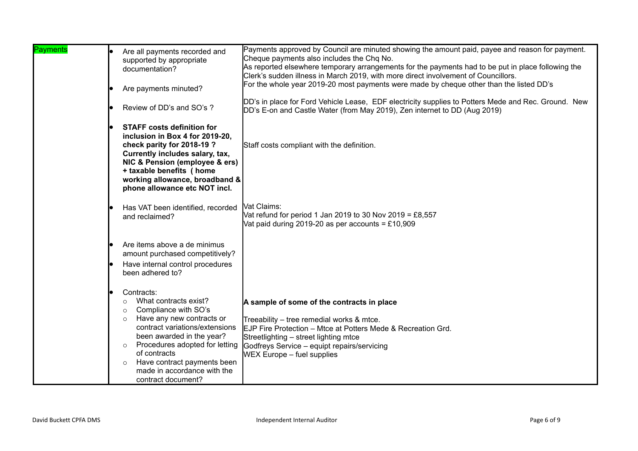| <b>Payments</b> | Are all payments recorded and<br>supported by appropriate<br>documentation?<br>Are payments minuted?                                                                                                                                                                                                                                                 | Payments approved by Council are minuted showing the amount paid, payee and reason for payment.<br>Cheque payments also includes the Chq No.<br>As reported elsewhere temporary arrangements for the payments had to be put in place following the<br>Clerk's sudden illness in March 2019, with more direct involvement of Councillors.<br>For the whole year 2019-20 most payments were made by cheque other than the listed DD's<br>DD's in place for Ford Vehicle Lease, EDF electricity supplies to Potters Mede and Rec. Ground. New |
|-----------------|------------------------------------------------------------------------------------------------------------------------------------------------------------------------------------------------------------------------------------------------------------------------------------------------------------------------------------------------------|--------------------------------------------------------------------------------------------------------------------------------------------------------------------------------------------------------------------------------------------------------------------------------------------------------------------------------------------------------------------------------------------------------------------------------------------------------------------------------------------------------------------------------------------|
|                 | Review of DD's and SO's ?                                                                                                                                                                                                                                                                                                                            | DD's E-on and Castle Water (from May 2019), Zen internet to DD (Aug 2019)                                                                                                                                                                                                                                                                                                                                                                                                                                                                  |
|                 | <b>STAFF costs definition for</b><br>inclusion in Box 4 for 2019-20,<br>check parity for 2018-19?<br>Currently includes salary, tax,<br>NIC & Pension (employee & ers)<br>+ taxable benefits (home<br>working allowance, broadband &<br>phone allowance etc NOT incl.                                                                                | Staff costs compliant with the definition.                                                                                                                                                                                                                                                                                                                                                                                                                                                                                                 |
|                 | Has VAT been identified, recorded   Vat Claims:<br>and reclaimed?                                                                                                                                                                                                                                                                                    | Vat refund for period 1 Jan 2019 to 30 Nov 2019 = £8,557<br>Vat paid during 2019-20 as per accounts = £10,909                                                                                                                                                                                                                                                                                                                                                                                                                              |
|                 | Are items above a de minimus<br>amount purchased competitively?                                                                                                                                                                                                                                                                                      |                                                                                                                                                                                                                                                                                                                                                                                                                                                                                                                                            |
|                 | Have internal control procedures<br>been adhered to?                                                                                                                                                                                                                                                                                                 |                                                                                                                                                                                                                                                                                                                                                                                                                                                                                                                                            |
|                 | Contracts:<br>What contracts exist?<br>$\circ$<br>Compliance with SO's<br>$\circ$<br>Have any new contracts or<br>$\circ$<br>contract variations/extensions<br>been awarded in the year?<br>Procedures adopted for letting<br>$\circ$<br>of contracts<br>Have contract payments been<br>$\circ$<br>made in accordance with the<br>contract document? | A sample of some of the contracts in place<br>Treeability – tree remedial works & mtce.<br>EJP Fire Protection – Mtce at Potters Mede & Recreation Grd.<br>Streetlighting - street lighting mtce<br>Godfreys Service - equipt repairs/servicing<br><b>WEX Europe – fuel supplies</b>                                                                                                                                                                                                                                                       |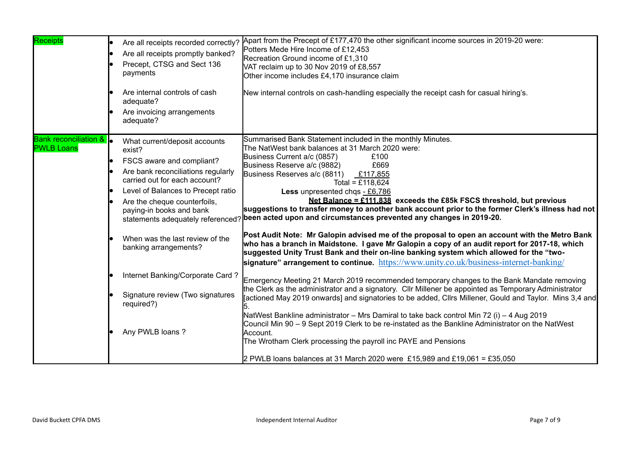| Receipts                                              | Are all receipts recorded correctly?<br>Are all receipts promptly banked?<br>Precept, CTSG and Sect 136<br>payments<br>Are internal controls of cash<br>adequate?<br>Are invoicing arrangements<br>adequate?                                                                                                                                        | Apart from the Precept of £177,470 the other significant income sources in 2019-20 were:<br>Potters Mede Hire Income of £12,453<br>Recreation Ground income of £1,310<br>VAT reclaim up to 30 Nov 2019 of £8,557<br>Other income includes £4,170 insurance claim<br>New internal controls on cash-handling especially the receipt cash for casual hiring's.                                                                                                                                                                                                                                                                                                                                                                                                                                                                                                                                                                                                                                                                                                              |
|-------------------------------------------------------|-----------------------------------------------------------------------------------------------------------------------------------------------------------------------------------------------------------------------------------------------------------------------------------------------------------------------------------------------------|--------------------------------------------------------------------------------------------------------------------------------------------------------------------------------------------------------------------------------------------------------------------------------------------------------------------------------------------------------------------------------------------------------------------------------------------------------------------------------------------------------------------------------------------------------------------------------------------------------------------------------------------------------------------------------------------------------------------------------------------------------------------------------------------------------------------------------------------------------------------------------------------------------------------------------------------------------------------------------------------------------------------------------------------------------------------------|
| <b>Bank reconciliation &amp;</b><br><b>PWLB Loans</b> | What current/deposit accounts<br>exist?<br>FSCS aware and compliant?<br>le<br>Are bank reconciliations regularly<br>carried out for each account?<br>Level of Balances to Precept ratio<br>Are the cheque counterfoils,<br>paying-in books and bank<br>When was the last review of the<br>banking arrangements?<br>Internet Banking/Corporate Card? | Summarised Bank Statement included in the monthly Minutes.<br>The NatWest bank balances at 31 March 2020 were:<br>Business Current a/c (0857)<br>£100<br>Business Reserve a/c (9882)<br>£669<br>Business Reserves a/c (8811) £117,855<br>Total = £118,624<br>Less unpresented chqs - £6,786<br>Net Balance = $£111.838$ exceeds the £85k FSCS threshold, but previous<br>suggestions to transfer money to another bank account prior to the former Clerk's illness had not<br>statements adequately referenced? been acted upon and circumstances prevented any changes in 2019-20.<br>Post Audit Note: Mr Galopin advised me of the proposal to open an account with the Metro Bank<br>who has a branch in Maidstone. I gave Mr Galopin a copy of an audit report for 2017-18, which<br>suggested Unity Trust Bank and their on-line banking system which allowed for the "two-<br>signature" arrangement to continue. https://www.unity.co.uk/business-internet-banking/<br>Emergency Meeting 21 March 2019 recommended temporary changes to the Bank Mandate removing |
|                                                       | Signature review (Two signatures<br>required?)<br>Any PWLB loans?                                                                                                                                                                                                                                                                                   | the Clerk as the administrator and a signatory. Cllr Millener be appointed as Temporary Administrator<br>[actioned May 2019 onwards] and signatories to be added, Cllrs Millener, Gould and Taylor. Mins 3,4 and<br>NatWest Bankline administrator – Mrs Damiral to take back control Min 72 (i) – 4 Aug 2019<br>Council Min 90 - 9 Sept 2019 Clerk to be re-instated as the Bankline Administrator on the NatWest<br>Account.<br>The Wrotham Clerk processing the payroll inc PAYE and Pensions<br>2 PWLB loans balances at 31 March 2020 were £15,989 and £19,061 = £35,050                                                                                                                                                                                                                                                                                                                                                                                                                                                                                            |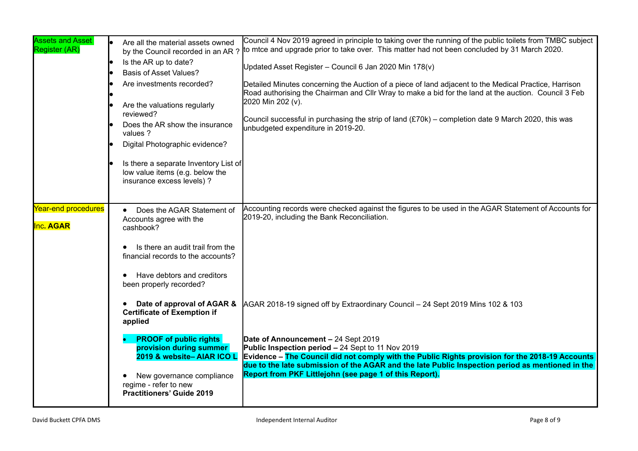| <b>Assets and Asset</b><br>Register (AR) | Are all the material assets owned<br>by the Council recorded in an AR?<br>Is the AR up to date?<br><b>Basis of Asset Values?</b><br>Are investments recorded?<br>Are the valuations regularly<br>reviewed?<br>Does the AR show the insurance<br>values ?<br>Digital Photographic evidence?<br>Is there a separate Inventory List of<br>low value items (e.g. below the<br>insurance excess levels) ? | Council 4 Nov 2019 agreed in principle to taking over the running of the public toilets from TMBC subject<br>to mice and upgrade prior to take over. This matter had not been concluded by 31 March 2020.<br>Updated Asset Register - Council 6 Jan 2020 Min 178(v)<br>Detailed Minutes concerning the Auction of a piece of land adjacent to the Medical Practice, Harrison<br>Road authorising the Chairman and Cllr Wray to make a bid for the land at the auction. Council 3 Feb<br>2020 Min 202 (v).<br>Council successful in purchasing the strip of land $(E70k)$ – completion date 9 March 2020, this was<br>unbudgeted expenditure in 2019-20. |
|------------------------------------------|------------------------------------------------------------------------------------------------------------------------------------------------------------------------------------------------------------------------------------------------------------------------------------------------------------------------------------------------------------------------------------------------------|---------------------------------------------------------------------------------------------------------------------------------------------------------------------------------------------------------------------------------------------------------------------------------------------------------------------------------------------------------------------------------------------------------------------------------------------------------------------------------------------------------------------------------------------------------------------------------------------------------------------------------------------------------|
| Year-end procedures<br><b>Inc. AGAR</b>  | Does the AGAR Statement of<br>Accounts agree with the<br>cashbook?<br>Is there an audit trail from the<br>financial records to the accounts?<br>Have debtors and creditors<br>$\bullet$<br>been properly recorded?<br>Date of approval of AGAR &<br><b>Certificate of Exemption if</b><br>applied                                                                                                    | Accounting records were checked against the figures to be used in the AGAR Statement of Accounts for<br>2019-20, including the Bank Reconciliation.<br>AGAR 2018-19 signed off by Extraordinary Council - 24 Sept 2019 Mins 102 & 103                                                                                                                                                                                                                                                                                                                                                                                                                   |
|                                          | <b>PROOF of public rights</b><br>provision during summer<br>2019 & website-AIAR ICO L<br>New governance compliance<br>regime - refer to new<br><b>Practitioners' Guide 2019</b>                                                                                                                                                                                                                      | Date of Announcement - 24 Sept 2019<br>Public Inspection period - 24 Sept to 11 Nov 2019<br>Evidence – The Council did not comply with the Public Rights provision for the 2018-19 Accounts<br>due to the late submission of the AGAR and the late Public Inspection period as mentioned in the<br>Report from PKF Littlejohn (see page 1 of this Report).                                                                                                                                                                                                                                                                                              |